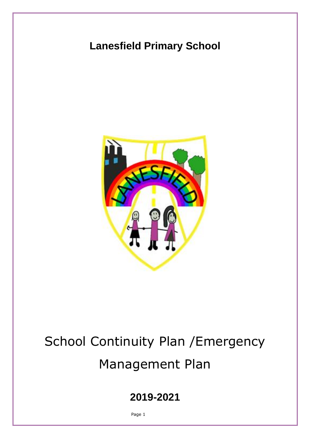## **Lanesfield Primary School**



# School Continuity Plan /Emergency Management Plan

**2019-2021**

Page 1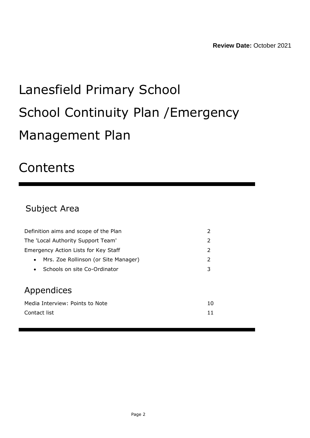# Lanesfield Primary School School Continuity Plan /Emergency Management Plan

## **Contents**

## Subject Area

| Definition aims and scope of the Plan<br>2        |    |  |
|---------------------------------------------------|----|--|
| The 'Local Authority Support Team'                | 2  |  |
| Emergency Action Lists for Key Staff              | 2  |  |
| Mrs. Zoe Rollinson (or Site Manager)<br>$\bullet$ | 2  |  |
| Schools on site Co-Ordinator<br>$\bullet$         | 3  |  |
|                                                   |    |  |
| Appendices                                        |    |  |
| Media Interview: Points to Note                   | 10 |  |
| Contact list                                      | 11 |  |
|                                                   |    |  |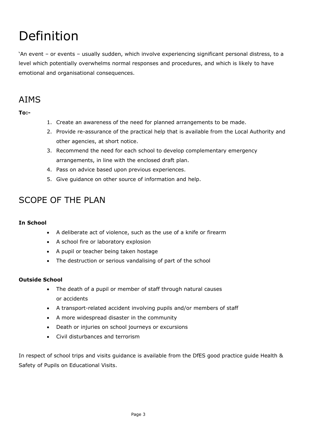## Definition

'An event – or events – usually sudden, which involve experiencing significant personal distress, to a level which potentially overwhelms normal responses and procedures, and which is likely to have emotional and organisational consequences.

## AIMS

**To:-**

- 1. Create an awareness of the need for planned arrangements to be made.
- 2. Provide re-assurance of the practical help that is available from the Local Authority and other agencies, at short notice.
- 3. Recommend the need for each school to develop complementary emergency arrangements, in line with the enclosed draft plan.
- 4. Pass on advice based upon previous experiences.
- 5. Give guidance on other source of information and help.

## SCOPE OF THE PLAN

#### **In School**

- A deliberate act of violence, such as the use of a knife or firearm
- A school fire or laboratory explosion
- A pupil or teacher being taken hostage
- The destruction or serious vandalising of part of the school

#### **Outside School**

- The death of a pupil or member of staff through natural causes or accidents
- A transport-related accident involving pupils and/or members of staff
- A more widespread disaster in the community
- Death or injuries on school journeys or excursions
- Civil disturbances and terrorism

In respect of school trips and visits guidance is available from the DfES good practice guide Health & Safety of Pupils on Educational Visits.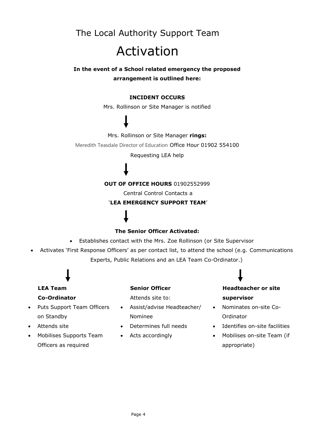## The Local Authority Support Team Activation

#### **In the event of a School related emergency the proposed arrangement is outlined here:**

#### **INCIDENT OCCURS**

Mrs. Rollinson or Site Manager is notified

#### Mrs. Rollinson or Site Manager **rings:**

Meredith Teasdale Director of Education Office Hour 01902 554100

Requesting LEA help

#### **OUT OF OFFICE HOURS** 01902552999

Central Control Contacts a

#### '**LEA EMERGENCY SUPPORT TEAM**'

#### **The Senior Officer Activated:**

- Establishes contact with the Mrs. Zoe Rollinson (or Site Supervisor
- Activates 'First Response Officers' as per contact list, to attend the school (e.g. Communications Experts, Public Relations and an LEA Team Co-Ordinator.)

## **LEA Team Co-Ordinator**

- Puts Support Team Officers on Standby
- Attends site
- Mobilises Supports Team Officers as required

#### **Senior Officer**

Attends site to:

- Assist/advise Headteacher/ Nominee
- Determines full needs
- Acts accordingly

### **Headteacher or site supervisor**

- Nominates on-site Co-Ordinator
- Identifies on-site facilities
- Mobilises on-site Team (if appropriate)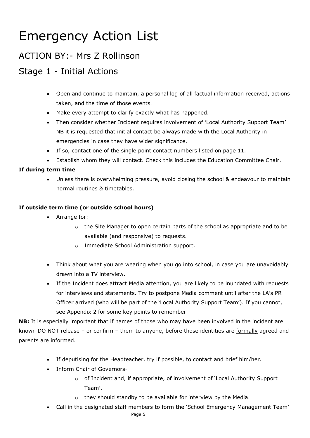## Emergency Action List

### ACTION BY:- Mrs Z Rollinson

## Stage 1 - Initial Actions

- Open and continue to maintain, a personal log of all factual information received, actions taken, and the time of those events.
- Make every attempt to clarify exactly what has happened.
- Then consider whether Incident requires involvement of 'Local Authority Support Team' NB it is requested that initial contact be always made with the Local Authority in emergencies in case they have wider significance.
- If so, contact one of the single point contact numbers listed on page 11.
- Establish whom they will contact. Check this includes the Education Committee Chair.

#### **If during term time**

• Unless there is overwhelming pressure, avoid closing the school & endeavour to maintain normal routines & timetables.

#### **If outside term time (or outside school hours)**

- Arrange for:-
	- $\circ$  the Site Manager to open certain parts of the school as appropriate and to be available (and responsive) to requests.
	- o Immediate School Administration support.
- Think about what you are wearing when you go into school, in case you are unavoidably drawn into a TV interview.
- If the Incident does attract Media attention, you are likely to be inundated with requests for interviews and statements. Try to postpone Media comment until after the LA's PR Officer arrived (who will be part of the 'Local Authority Support Team'). If you cannot, see Appendix 2 for some key points to remember.

**NB:** It is especially important that if names of those who may have been involved in the incident are known DO NOT release – or confirm – them to anyone, before those identities are formally agreed and parents are informed.

- If deputising for the Headteacher, try if possible, to contact and brief him/her.
- Inform Chair of Governors
	- o of Incident and, if appropriate, of involvement of 'Local Authority Support Team'.
	- o they should standby to be available for interview by the Media.
- Call in the designated staff members to form the 'School Emergency Management Team'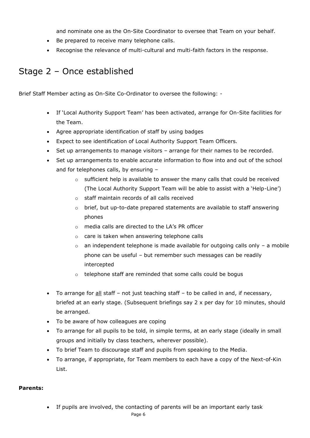and nominate one as the On-Site Coordinator to oversee that Team on your behalf.

- Be prepared to receive many telephone calls.
- Recognise the relevance of multi-cultural and multi-faith factors in the response.

### Stage 2 – Once established

Brief Staff Member acting as On-Site Co-Ordinator to oversee the following: -

- If 'Local Authority Support Team' has been activated, arrange for On-Site facilities for the Team.
- Agree appropriate identification of staff by using badges
- Expect to see identification of Local Authority Support Team Officers.
- Set up arrangements to manage visitors arrange for their names to be recorded.
- Set up arrangements to enable accurate information to flow into and out of the school and for telephones calls, by ensuring –
	- o sufficient help is available to answer the many calls that could be received (The Local Authority Support Team will be able to assist with a 'Help-Line')
	- o staff maintain records of all calls received
	- o brief, but up-to-date prepared statements are available to staff answering phones
	- o media calls are directed to the LA's PR officer
	- o care is taken when answering telephone calls
	- $\circ$  an independent telephone is made available for outgoing calls only a mobile phone can be useful – but remember such messages can be readily intercepted
	- o telephone staff are reminded that some calls could be bogus
- To arrange for all staff not just teaching staff to be called in and, if necessary, briefed at an early stage. (Subsequent briefings say 2 x per day for 10 minutes, should be arranged.
- To be aware of how colleagues are coping
- To arrange for all pupils to be told, in simple terms, at an early stage (ideally in small groups and initially by class teachers, wherever possible).
- To brief Team to discourage staff and pupils from speaking to the Media.
- To arrange, if appropriate, for Team members to each have a copy of the Next-of-Kin List.

#### **Parents:**

• If pupils are involved, the contacting of parents will be an important early task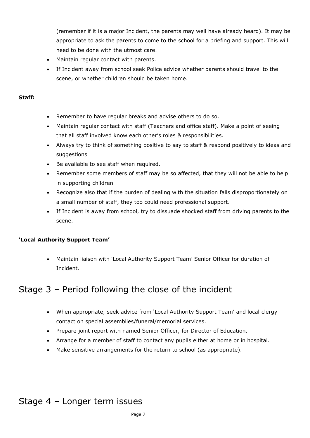(remember if it is a major Incident, the parents may well have already heard). It may be appropriate to ask the parents to come to the school for a briefing and support. This will need to be done with the utmost care.

- Maintain regular contact with parents.
- If Incident away from school seek Police advice whether parents should travel to the scene, or whether children should be taken home.

#### **Staff:**

- Remember to have regular breaks and advise others to do so.
- Maintain regular contact with staff (Teachers and office staff). Make a point of seeing that all staff involved know each other's roles & responsibilities.
- Always try to think of something positive to say to staff & respond positively to ideas and suggestions
- Be available to see staff when required.
- Remember some members of staff may be so affected, that they will not be able to help in supporting children
- Recognize also that if the burden of dealing with the situation falls disproportionately on a small number of staff, they too could need professional support.
- If Incident is away from school, try to dissuade shocked staff from driving parents to the scene.

#### **'Local Authority Support Team'**

• Maintain liaison with 'Local Authority Support Team' Senior Officer for duration of Incident.

### Stage 3 – Period following the close of the incident

- When appropriate, seek advice from 'Local Authority Support Team' and local clergy contact on special assemblies/funeral/memorial services.
- Prepare joint report with named Senior Officer, for Director of Education.
- Arrange for a member of staff to contact any pupils either at home or in hospital.
- Make sensitive arrangements for the return to school (as appropriate).

## Stage 4 – Longer term issues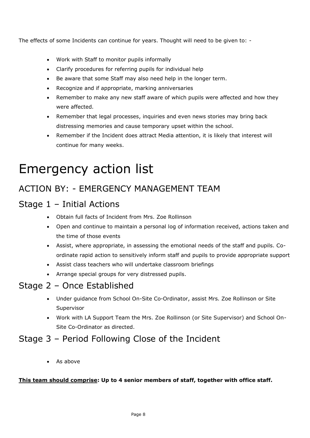The effects of some Incidents can continue for years. Thought will need to be given to: -

- Work with Staff to monitor pupils informally
- Clarify procedures for referring pupils for individual help
- Be aware that some Staff may also need help in the longer term.
- Recognize and if appropriate, marking anniversaries
- Remember to make any new staff aware of which pupils were affected and how they were affected.
- Remember that legal processes, inquiries and even news stories may bring back distressing memories and cause temporary upset within the school.
- Remember if the Incident does attract Media attention, it is likely that interest will continue for many weeks.

## Emergency action list

## ACTION BY: - EMERGENCY MANAGEMENT TEAM

## Stage 1 – Initial Actions

- Obtain full facts of Incident from Mrs. Zoe Rollinson
- Open and continue to maintain a personal log of information received, actions taken and the time of those events
- Assist, where appropriate, in assessing the emotional needs of the staff and pupils. Coordinate rapid action to sensitively inform staff and pupils to provide appropriate support
- Assist class teachers who will undertake classroom briefings
- Arrange special groups for very distressed pupils.

## Stage 2 – Once Established

- Under guidance from School On-Site Co-Ordinator, assist Mrs. Zoe Rollinson or Site Supervisor
- Work with LA Support Team the Mrs. Zoe Rollinson (or Site Supervisor) and School On-Site Co-Ordinator as directed.

### Stage 3 – Period Following Close of the Incident

• As above

#### **This team should comprise: Up to 4 senior members of staff, together with office staff.**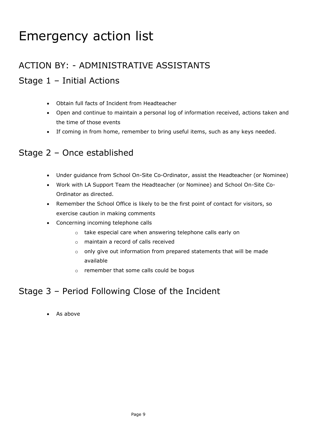## Emergency action list

## ACTION BY: - ADMINISTRATIVE ASSISTANTS

## Stage 1 – Initial Actions

- Obtain full facts of Incident from Headteacher
- Open and continue to maintain a personal log of information received, actions taken and the time of those events
- If coming in from home, remember to bring useful items, such as any keys needed.

### Stage 2 – Once established

- Under guidance from School On-Site Co-Ordinator, assist the Headteacher (or Nominee)
- Work with LA Support Team the Headteacher (or Nominee) and School On-Site Co-Ordinator as directed.
- Remember the School Office is likely to be the first point of contact for visitors, so exercise caution in making comments
- Concerning incoming telephone calls
	- o take especial care when answering telephone calls early on
	- o maintain a record of calls received
	- o only give out information from prepared statements that will be made available
	- o remember that some calls could be bogus

### Stage 3 – Period Following Close of the Incident

• As above